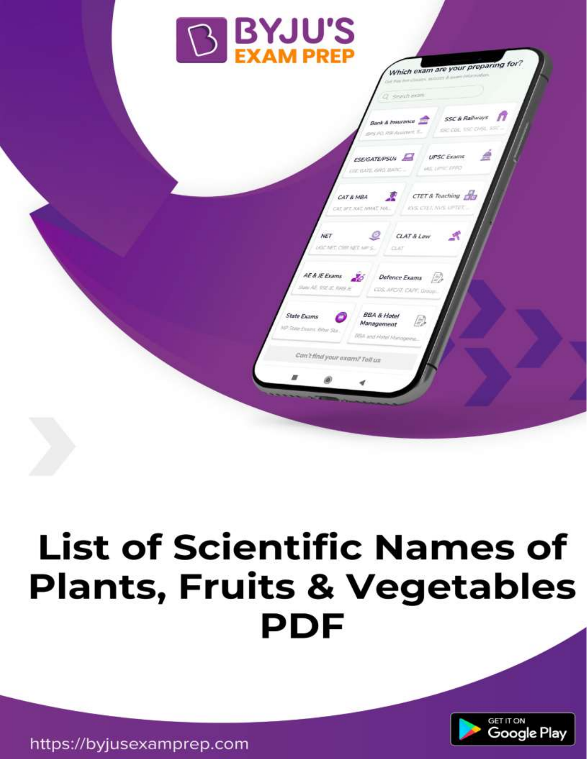

# **List of Scientific Names of Plants, Fruits & Vegetables PDF**



https://byjusexamprep.com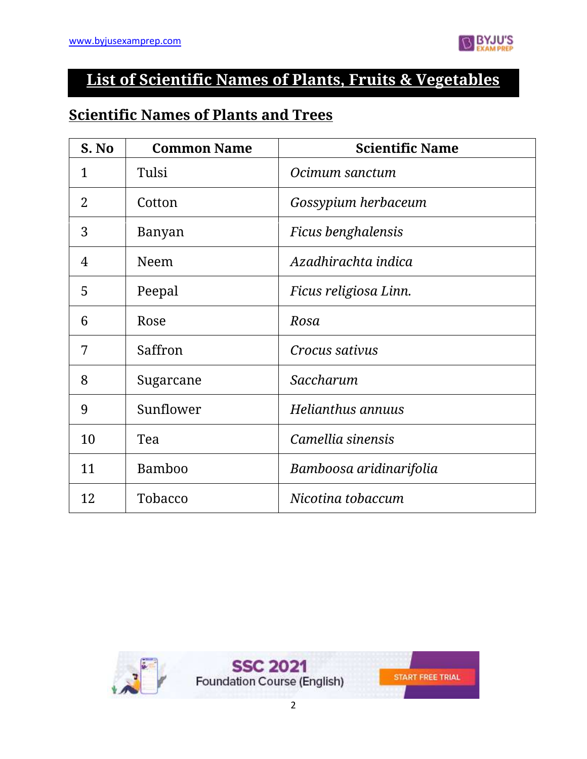

### **List of Scientific Names of Plants, Fruits & Vegetables**

#### **Scientific Names of Plants and Trees**

| S. No          | <b>Common Name</b> | <b>Scientific Name</b>  |
|----------------|--------------------|-------------------------|
| $\mathbf{1}$   | Tulsi              | Ocimum sanctum          |
| 2              | Cotton             | Gossypium herbaceum     |
| 3              | Banyan             | Ficus benghalensis      |
| $\overline{4}$ | Neem               | Azadhirachta indica     |
| 5              | Peepal             | Ficus religiosa Linn.   |
| 6              | Rose               | Rosa                    |
| 7              | Saffron            | Crocus sativus          |
| 8              | Sugarcane          | Saccharum               |
| 9              | Sunflower          | Helianthus annuus       |
| 10             | Tea                | Camellia sinensis       |
| 11             | <b>Bamboo</b>      | Bamboosa aridinarifolia |
| 12             | Tobacco            | Nicotina tobaccum       |

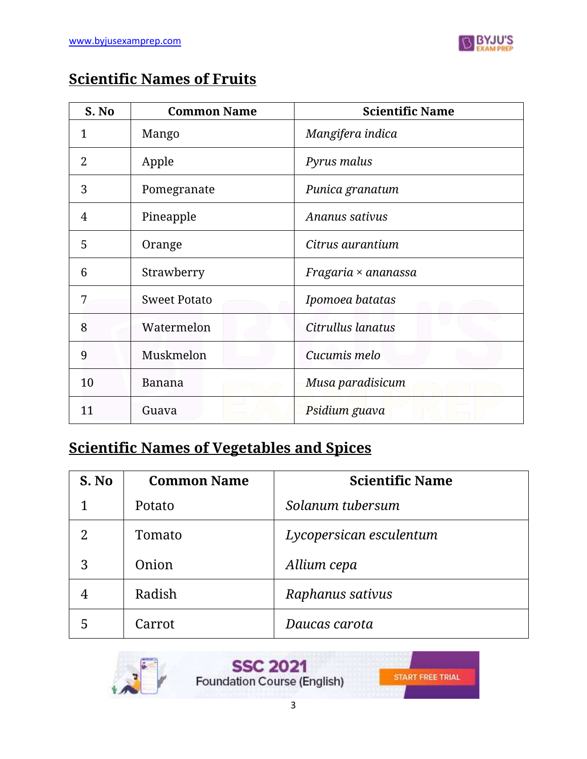

#### **Scientific Names of Fruits**

| S. No | <b>Common Name</b>  | <b>Scientific Name</b> |
|-------|---------------------|------------------------|
| 1     | Mango               | Mangifera indica       |
| 2     | Apple               | Pyrus malus            |
| 3     | Pomegranate         | Punica granatum        |
| 4     | Pineapple           | Ananus sativus         |
| 5     | Orange              | Citrus aurantium       |
| 6     | Strawberry          | Fragaria × ananassa    |
| 7     | <b>Sweet Potato</b> | Ipomoea batatas        |
| 8     | Watermelon          | Citrullus lanatus      |
| 9     | Muskmelon           | Cucumis melo           |
| 10    | <b>Banana</b>       | Musa paradisicum       |
| 11    | Guava               | Psidium guava          |

### **Scientific Names of Vegetables and Spices**

| S. No | <b>Common Name</b> | <b>Scientific Name</b>  |
|-------|--------------------|-------------------------|
| 1     | Potato             | Solanum tubersum        |
| 2     | Tomato             | Lycopersican esculentum |
| 3     | Onion              | Allium cepa             |
|       | Radish             | Raphanus sativus        |
| 5     | Carrot             | Daucas carota           |



**SSC 2021** Foundation Course (English)

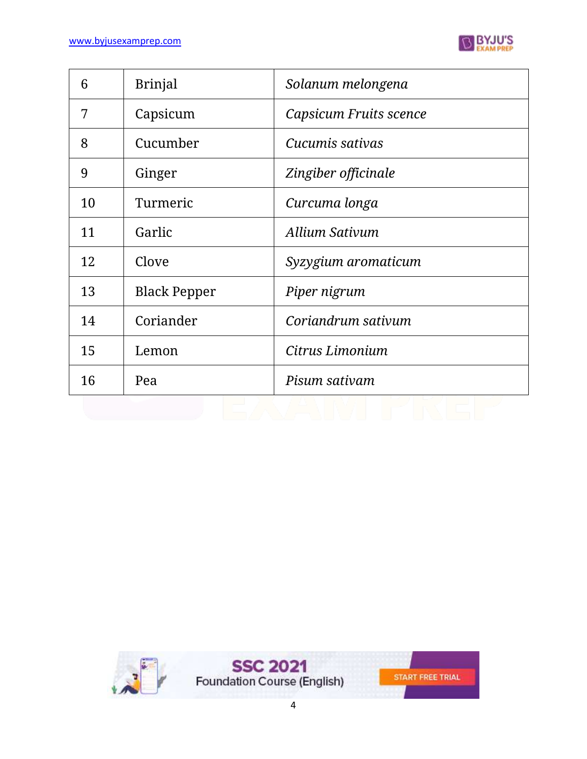

| 6  | <b>Brinjal</b>      | Solanum melongena      |
|----|---------------------|------------------------|
| 7  | Capsicum            | Capsicum Fruits scence |
| 8  | Cucumber            | Cucumis sativas        |
| 9  | Ginger              | Zingiber officinale    |
| 10 | Turmeric            | Curcuma longa          |
| 11 | Garlic              | Allium Sativum         |
| 12 | Clove               | Syzygium aromaticum    |
| 13 | <b>Black Pepper</b> | Piper nigrum           |
| 14 | Coriander           | Coriandrum sativum     |
| 15 | Lemon               | Citrus Limonium        |
| 16 | Pea                 | Pisum sativam          |